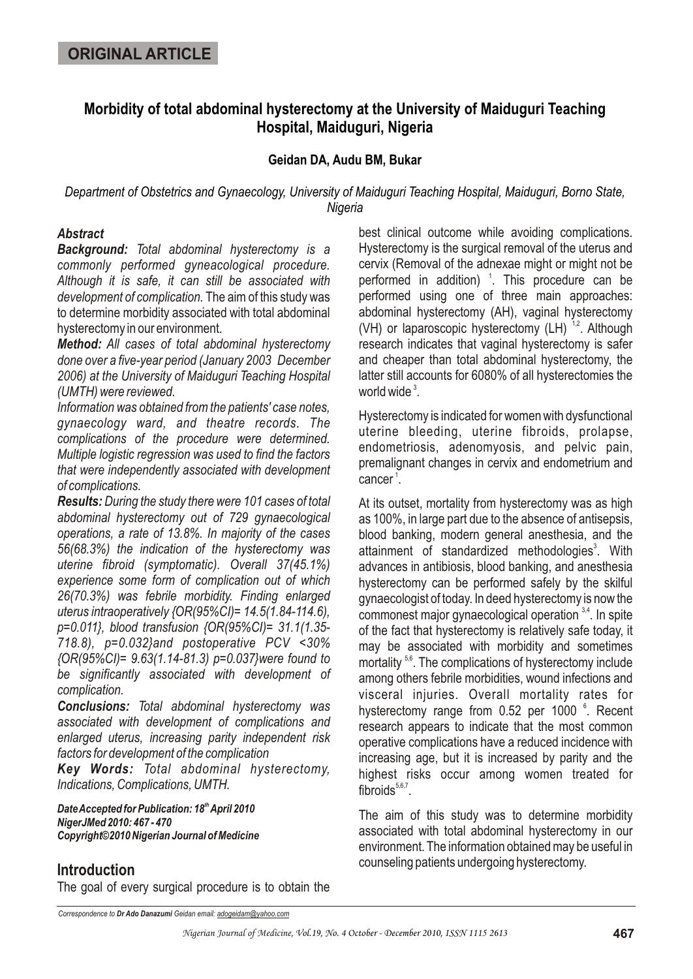# **Morbidity of total abdominal hysterectomy at the University of Maiduguri Teaching Hospital, Maiduguri, Nigeria**

### **Geidan DA, Audu BM, Bukar**

*Department of Obstetrics and Gynaecology, University of Maiduguri Teaching Hospital, Maiduguri, Borno State, Nigeria*

#### *Abstract*

*Background: Total abdominal hysterectomy is a commonly performed gyneacological procedure. Although it is safe, it can still be associated with development of complication.* The aim of this study was to determine morbidity associated with total abdominal hysterectomy in our environment.

*Method: All cases of total abdominal hysterectomy done over a five-year period (January 2003 December 2006) at the University of Maiduguri Teaching Hospital (UMTH) were reviewed.* 

*Information was obtained from the patients' case notes, gynaecology ward, and theatre records. The complications of the procedure were determined. Multiple logistic regression was used to find the factors that were independently associated with development of complications.*

*Results: During the study there were 101 cases of total abdominal hysterectomy out of 729 gynaecological operations, a rate of 13.8%. In majority of the cases 56(68.3%) the indication of the hysterectomy was uterine fibroid (symptomatic). Overall 37(45.1%) experience some form of complication out of which 26(70.3%) was febrile morbidity. Finding enlarged uterus intraoperatively {OR(95%CI)= 14.5(1.84-114.6), p=0.011}, blood transfusion {OR(95%CI)= 31.1(1.35- 718.8), p=0.032}and postoperative PCV <30% {OR(95%CI)= 9.63(1.14-81.3) p=0.037}were found to be significantly associated with development of complication.*

*Conclusions: Total abdominal hysterectomy was associated with development of complications and enlarged uterus, increasing parity independent risk factors for development of the complication*

*Key Words: Total abdominal hysterectomy, Indications, Complications, UMTH.*

*th Date Accepted for Publication: 18 April 2010 NigerJMed 2010: 467 - 470 Copyright©2010 Nigerian Journal of Medicine*

## **Introduction**

The goal of every surgical procedure is to obtain the

best clinical outcome while avoiding complications. Hysterectomy is the surgical removal of the uterus and cervix (Removal of the adnexae might or might not be performed in addition)  $\frac{1}{1}$ . This procedure can be performed using one of three main approaches: abdominal hysterectomy (AH), vaginal hysterectomy (VH) or laparoscopic hysterectomy (LH)  $^{1,2}$ . Although research indicates that vaginal hysterectomy is safer and cheaper than total abdominal hysterectomy, the latter still accounts for 6080% of all hysterectomies the world wide $^3$ .

Hysterectomy is indicated for women with dysfunctional uterine bleeding, uterine fibroids, prolapse, endometriosis, adenomyosis, and pelvic pain, premalignant changes in cervix and endometrium and cancer<sup>1</sup>.

At its outset, mortality from hysterectomy was as high as 100%, in large part due to the absence of antisepsis, blood banking, modern general anesthesia, and the attainment of standardized methodologies<sup>3</sup>. With advances in antibiosis, blood banking, and anesthesia hysterectomy can be performed safely by the skilful gynaecologist of today. In deed hysterectomy is now the commonest major gynaecological operation  $3,4$ . In spite of the fact that hysterectomy is relatively safe today, it may be associated with morbidity and sometimes mortality<sup>5,6</sup>. The complications of hysterectomy include among others febrile morbidities, wound infections and visceral injuries. Overall mortality rates for hysterectomy range from 0.52 per 1000 °. Recent research appears to indicate that the most common operative complications have a reduced incidence with increasing age, but it is increased by parity and the highest risks occur among women treated for  $fibroids^{5,6,7}$ .

The aim of this study was to determine morbidity associated with total abdominal hysterectomy in our environment. The information obtained may be useful in counseling patients undergoing hysterectomy.

*Correspondence to Dr Ado Danazumi Geidan email: adogeidam@yahoo.com*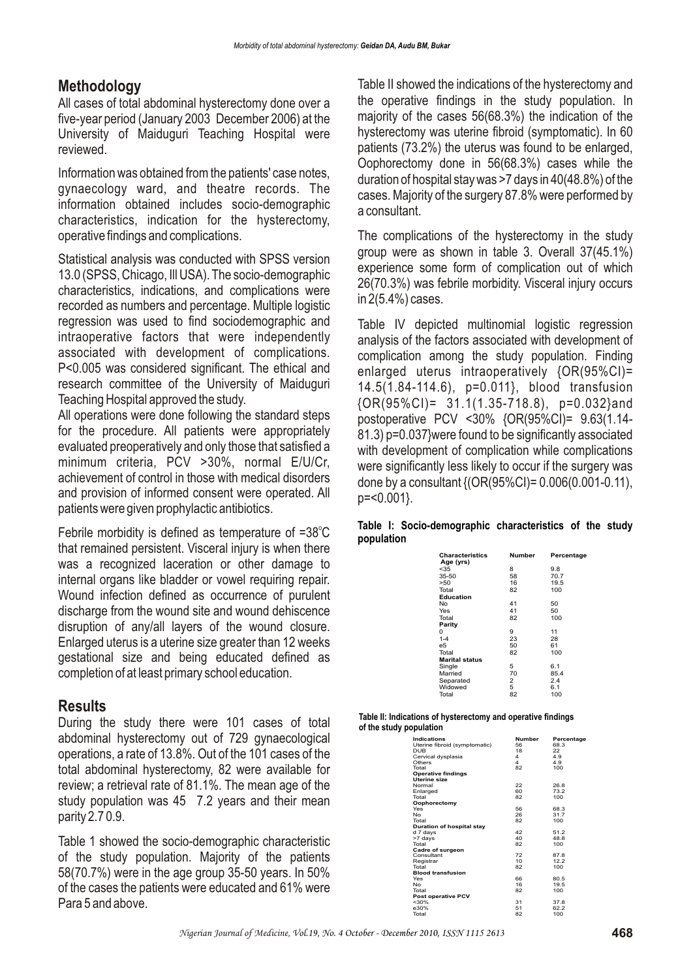## **Methodology**

All cases of total abdominal hysterectomy done over a five-year period (January 2003 December 2006) at the University of Maiduguri Teaching Hospital were reviewed.

Information was obtained from the patients' case notes, gynaecology ward, and theatre records. The information obtained includes socio-demographic characteristics, indication for the hysterectomy, operative findings and complications.

Statistical analysis was conducted with SPSS version 13.0 (SPSS, Chicago, Ill USA). The socio-demographic characteristics, indications, and complications were recorded as numbers and percentage. Multiple logistic regression was used to find sociodemographic and intraoperative factors that were independently associated with development of complications. P<0.005 was considered significant. The ethical and research committee of the University of Maiduguri Teaching Hospital approved the study.

All operations were done following the standard steps for the procedure. All patients were appropriately evaluated preoperatively and only those that satisfied a minimum criteria, PCV >30%, normal E/U/Cr, achievement of control in those with medical disorders and provision of informed consent were operated. All patients were given prophylactic antibiotics.

Febrile morbidity is defined as temperature of =38°C that remained persistent. Visceral injury is when there was a recognized laceration or other damage to internal organs like bladder or vowel requiring repair. Wound infection defined as occurrence of purulent discharge from the wound site and wound dehiscence disruption of any/all layers of the wound closure. Enlarged uterus is a uterine size greater than 12 weeks gestational size and being educated defined as completion of at least primary school education.

## **Results**

During the study there were 101 cases of total abdominal hysterectomy out of 729 gynaecological operations, a rate of 13.8%. Out of the 101 cases of the total abdominal hysterectomy, 82 were available for review; a retrieval rate of 81.1%. The mean age of the study population was 45 7.2 years and their mean parity 2.7 0.9.

Table 1 showed the socio-demographic characteristic of the study population. Majority of the patients 58(70.7%) were in the age group 35-50 years. In 50% of the cases the patients were educated and 61% were Para 5 and above.

Table II showed the indications of the hysterectomy and the operative findings in the study population. In majority of the cases 56(68.3%) the indication of the hysterectomy was uterine fibroid (symptomatic). In 60 patients (73.2%) the uterus was found to be enlarged, Oophorectomy done in 56(68.3%) cases while the duration of hospital stay was >7 days in 40(48.8%) of the cases. Majority of the surgery 87.8% were performed by a consultant.

The complications of the hysterectomy in the study group were as shown in table 3. Overall 37(45.1%) experience some form of complication out of which 26(70.3%) was febrile morbidity. Visceral injury occurs in 2(5.4%) cases.

Table IV depicted multinomial logistic regression analysis of the factors associated with development of complication among the study population. Finding enlarged uterus intraoperatively {OR(95%CI)= 14.5(1.84-114.6), p=0.011}, blood transfusion {OR(95%CI)= 31.1(1.35-718.8), p=0.032}and postoperative PCV <30% {OR(95%CI)= 9.63(1.14- 81.3) p=0.037}were found to be significantly associated with development of complication while complications were significantly less likely to occur if the surgery was done by a consultant {(OR(95%CI)= 0.006(0.001-0.11), p=<0.001}.

|            | Table I: Socio-demographic characteristics of the study |  |  |
|------------|---------------------------------------------------------|--|--|
| population |                                                         |  |  |

| Characteristics<br>Age (yrs) | Number         | Percentage |
|------------------------------|----------------|------------|
| $35$                         | 8              | 9.8        |
| 35-50                        | 58             | 70.7       |
| >50                          | 16             | 19.5       |
| Total                        | 82             | 100        |
| Education                    |                |            |
| No                           | 41             | 50         |
| Yes                          | 41             | 50         |
| Total                        | 82             | 100        |
| Parity                       |                |            |
| 0                            | 9              | 11         |
| $1 - 4$                      | 23             | 28         |
| e5                           | 50             | 61         |
| Total                        | 82             | 100        |
| <b>Marital status</b>        |                |            |
| Single                       | 5              | 6.1        |
| Married                      | 70             | 85.4       |
| Separated                    | $\overline{2}$ | 2.4        |
| Widowed                      | 5              | 6.1        |
| Total                        | 82             | 100        |

**Table II: Indications of hysterectomy and operative findings of the study population**

| Indications                   | <b>Number</b> | Percentage |
|-------------------------------|---------------|------------|
| Uterine fibroid (symptomatic) | 56            | 68.3       |
| <b>DUB</b>                    | 18            | 22         |
| Cervical dysplasia            | 4             | 4.9        |
| Others                        | 4             | 4.9        |
| Total                         | 82            | 100        |
| <b>Operative findings</b>     |               |            |
| Uterine size                  |               |            |
| Normal                        | 22            | 26.8       |
| Enlarged                      | 60            | 73.2       |
| Total                         | 82            | 100        |
| Oophorectomy                  |               |            |
| Yes                           | 56            | 68.3       |
| N <sub>o</sub>                | 26            | 31.7       |
| Total                         | 82            | 100        |
| Duration of hospital stay     |               |            |
| d 7 days                      | 42            | 51.2       |
| >7 days                       | 40            | 48.8       |
| Total                         | 82            | 100        |
| Cadre of surgeon              |               |            |
| Consultant                    | 72            | 87.8       |
| Registrar                     | 10            | 12.2       |
| Total                         | 82            | 100        |
| <b>Blood transfusion</b>      |               |            |
| Yes                           | 66            | 80.5       |
| N <sub>o</sub>                | 16            | 19.5       |
| Total                         | 82            | 100        |
| Post operative PCV            |               |            |
| < 30%                         | 31            | 37.8       |
| e30%                          | 51            | 62.2       |
| Total                         | 82            | 100        |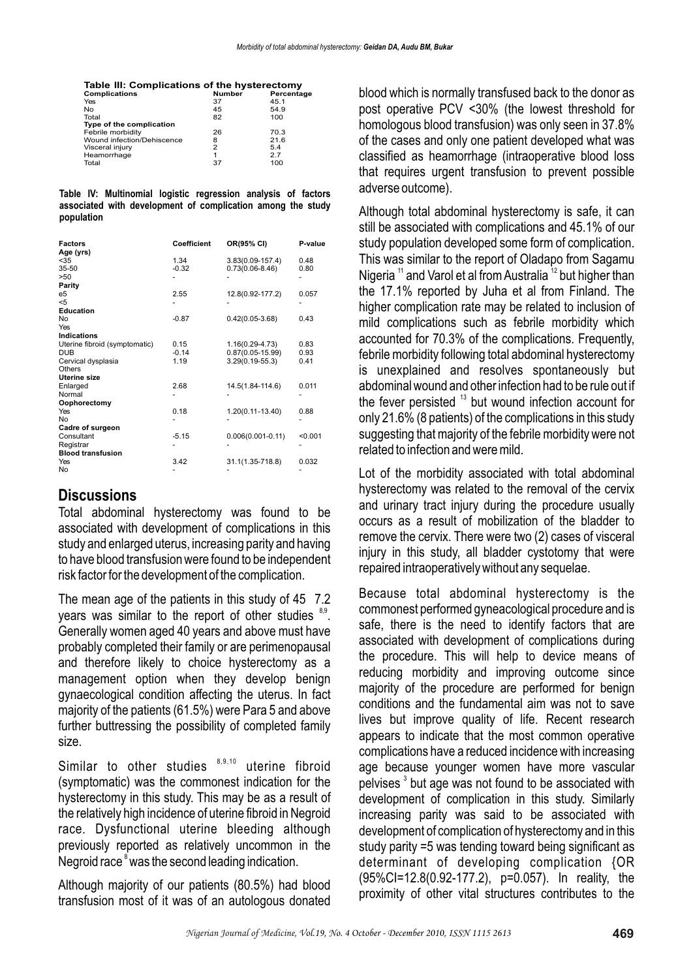| <b>Complications</b>       | Number | Percentage |
|----------------------------|--------|------------|
| Yes                        | 37     | 45.1       |
| No                         | 45     | 54.9       |
| Total                      | 82     | 100        |
| Type of the complication   |        |            |
| Febrile morbidity          | 26     | 70.3       |
| Wound infection/Dehiscence | 8      | 21.6       |
| Visceral injury            | 2      | 5.4        |
| Heamorrhage                | 1      | 2.7        |
| Total                      | 37     | 100        |

#### **Table IV: Multinomial logistic regression analysis of factors associated with development of complication among the study population**

| <b>Factors</b><br>Age (yrs)   | Coefficient | OR(95% CI)            | P-value |
|-------------------------------|-------------|-----------------------|---------|
| $35$                          | 1.34        | $3.83(0.09 - 157.4)$  | 0.48    |
| $35 - 50$                     | $-0.32$     | $0.73(0.06-8.46)$     | 0.80    |
| >50                           |             |                       |         |
| Parity                        |             |                       |         |
| e5                            | 2.55        | 12.8(0.92-177.2)      | 0.057   |
| $5$                           |             |                       |         |
| Education                     |             |                       |         |
| No                            | $-0.87$     | $0.42(0.05-3.68)$     | 0.43    |
| Yes                           |             |                       |         |
| <b>Indications</b>            |             |                       |         |
| Uterine fibroid (symptomatic) | 0.15        | $1.16(0.29 - 4.73)$   | 0.83    |
| <b>DUB</b>                    | $-0.14$     | $0.87(0.05 - 15.99)$  | 0.93    |
| Cervical dysplasia            | 1.19        | $3.29(0.19 - 55.3)$   | 0.41    |
| Others                        |             |                       |         |
| Uterine size                  |             |                       |         |
| Enlarged                      | 2.68        | 14.5(1.84-114.6)      | 0.011   |
| Normal                        |             |                       |         |
| Oophorectomy                  |             |                       |         |
| Yes                           | 0.18        | 1.20(0.11-13.40)      | 0.88    |
| No                            |             |                       |         |
| Cadre of surgeon              |             |                       |         |
| Consultant                    | $-5.15$     | $0.006(0.001 - 0.11)$ | < 0.001 |
| Registrar                     |             |                       |         |
| <b>Blood transfusion</b>      |             |                       |         |
| Yes                           | 3.42        | 31.1(1.35-718.8)      | 0.032   |
| No                            |             |                       |         |

#### **Discussions**

Total abdominal hysterectomy was found to be associated with development of complications in this study and enlarged uterus, increasing parity and having to have blood transfusion were found to be independent risk factor for the development of the complication.

The mean age of the patients in this study of 45 7.2 years was similar to the report of other studies  $8.9$ . Generally women aged 40 years and above must have probably completed their family or are perimenopausal and therefore likely to choice hysterectomy as a management option when they develop benign gynaecological condition affecting the uterus. In fact majority of the patients (61.5%) were Para 5 and above further buttressing the possibility of completed family size.

Similar to other studies  $8,9,10$  uterine fibroid (symptomatic) was the commonest indication for the hysterectomy in this study. This may be as a result of the relatively high incidence of uterine fibroid in Negroid race. Dysfunctional uterine bleeding although previously reported as relatively uncommon in the Negroid race<sup>8</sup> was the second leading indication.

Although majority of our patients (80.5%) had blood transfusion most of it was of an autologous donated blood which is normally transfused back to the donor as post operative PCV <30% (the lowest threshold for homologous blood transfusion) was only seen in 37.8% of the cases and only one patient developed what was classified as heamorrhage (intraoperative blood loss that requires urgent transfusion to prevent possible adverse outcome).

Although total abdominal hysterectomy is safe, it can still be associated with complications and 45.1% of our study population developed some form of complication. This was similar to the report of Oladapo from Sagamu Nigeria <sup>11</sup> and Varol et al from Australia <sup>12</sup> but higher than the 17.1% reported by Juha et al from Finland. The higher complication rate may be related to inclusion of mild complications such as febrile morbidity which accounted for 70.3% of the complications. Frequently, febrile morbidity following total abdominal hysterectomy is unexplained and resolves spontaneously but abdominal wound and other infection had to be rule out if the fever persisted  $13$  but wound infection account for only 21.6% (8 patients) of the complications in this study suggesting that majority of the febrile morbidity were not related to infection and were mild.

Lot of the morbidity associated with total abdominal hysterectomy was related to the removal of the cervix and urinary tract injury during the procedure usually occurs as a result of mobilization of the bladder to remove the cervix. There were two (2) cases of visceral injury in this study, all bladder cystotomy that were repaired intraoperatively without any sequelae.

Because total abdominal hysterectomy is the commonest performed gyneacological procedure and is safe, there is the need to identify factors that are associated with development of complications during the procedure. This will help to device means of reducing morbidity and improving outcome since majority of the procedure are performed for benign conditions and the fundamental aim was not to save lives but improve quality of life. Recent research appears to indicate that the most common operative complications have a reduced incidence with increasing age because younger women have more vascular pelvises<sup>3</sup> but age was not found to be associated with development of complication in this study. Similarly increasing parity was said to be associated with development of complication of hysterectomy and in this study parity =5 was tending toward being significant as determinant of developing complication {OR (95%CI=12.8(0.92-177.2), p=0.057). In reality, the proximity of other vital structures contributes to the